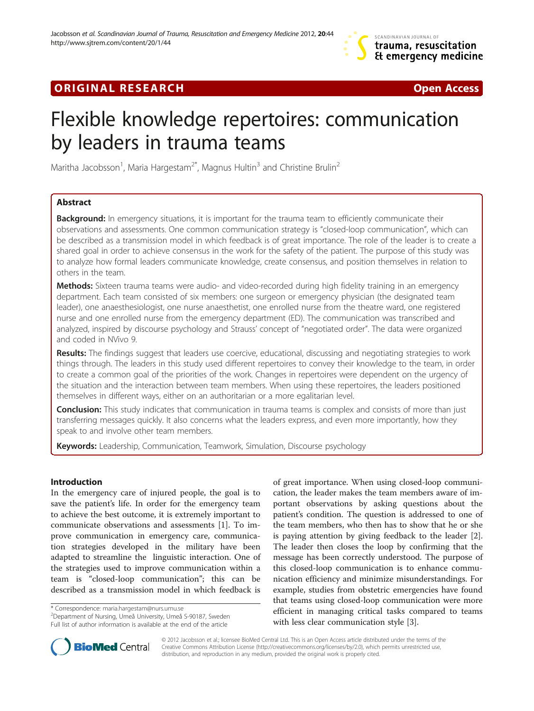# **ORIGINAL RESEARCH CONFIDENTIAL CONSUMING A LOCAL CONFIDENTIAL CONFIDENTIAL CONFIDENTIAL CONFIDENTIAL CONFIDENTI**



# Flexible knowledge repertoires: communication by leaders in trauma teams

Maritha Jacobsson<sup>1</sup>, Maria Hargestam<sup>2\*</sup>, Magnus Hultin<sup>3</sup> and Christine Brulin<sup>2</sup>

# Abstract

Background: In emergency situations, it is important for the trauma team to efficiently communicate their observations and assessments. One common communication strategy is "closed-loop communication", which can be described as a transmission model in which feedback is of great importance. The role of the leader is to create a shared goal in order to achieve consensus in the work for the safety of the patient. The purpose of this study was to analyze how formal leaders communicate knowledge, create consensus, and position themselves in relation to others in the team.

Methods: Sixteen trauma teams were audio- and video-recorded during high fidelity training in an emergency department. Each team consisted of six members: one surgeon or emergency physician (the designated team leader), one anaesthesiologist, one nurse anaesthetist, one enrolled nurse from the theatre ward, one registered nurse and one enrolled nurse from the emergency department (ED). The communication was transcribed and analyzed, inspired by discourse psychology and Strauss' concept of "negotiated order". The data were organized and coded in NVivo 9.

Results: The findings suggest that leaders use coercive, educational, discussing and negotiating strategies to work things through. The leaders in this study used different repertoires to convey their knowledge to the team, in order to create a common goal of the priorities of the work. Changes in repertoires were dependent on the urgency of the situation and the interaction between team members. When using these repertoires, the leaders positioned themselves in different ways, either on an authoritarian or a more egalitarian level.

**Conclusion:** This study indicates that communication in trauma teams is complex and consists of more than just transferring messages quickly. It also concerns what the leaders express, and even more importantly, how they speak to and involve other team members.

Keywords: Leadership, Communication, Teamwork, Simulation, Discourse psychology

# Introduction

In the emergency care of injured people, the goal is to save the patient's life. In order for the emergency team to achieve the best outcome, it is extremely important to communicate observations and assessments [[1](#page-7-0)]. To improve communication in emergency care, communication strategies developed in the military have been adapted to streamline the linguistic interaction. One of the strategies used to improve communication within a team is "closed-loop communication"; this can be described as a transmission model in which feedback is

\* Correspondence: [maria.hargestam@nurs.umu.se](mailto:maria.hargestam@nurs.umu.se) <sup>2</sup>

<sup>2</sup>Department of Nursing, Umeå University, Umeå S-90187, Sweden Full list of author information is available at the end of the article

of great importance. When using closed-loop communication, the leader makes the team members aware of important observations by asking questions about the patient's condition. The question is addressed to one of the team members, who then has to show that he or she is paying attention by giving feedback to the leader [\[2](#page-7-0)]. The leader then closes the loop by confirming that the message has been correctly understood. The purpose of this closed-loop communication is to enhance communication efficiency and minimize misunderstandings. For example, studies from obstetric emergencies have found that teams using closed-loop communication were more efficient in managing critical tasks compared to teams with less clear communication style [[3\]](#page-7-0).



© 2012 Jacobsson et al.; licensee BioMed Central Ltd. This is an Open Access article distributed under the terms of the Creative Commons Attribution License (<http://creativecommons.org/licenses/by/2.0>), which permits unrestricted use, distribution, and reproduction in any medium, provided the original work is properly cited.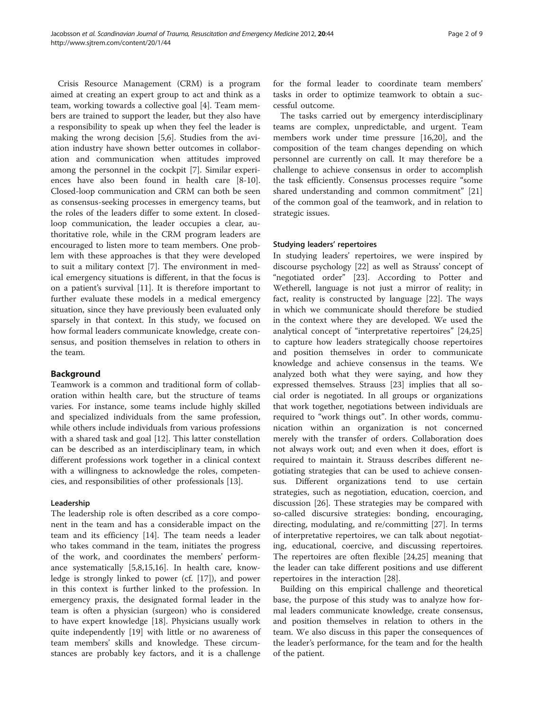Crisis Resource Management (CRM) is a program aimed at creating an expert group to act and think as a team, working towards a collective goal [\[4\]](#page-7-0). Team members are trained to support the leader, but they also have a responsibility to speak up when they feel the leader is making the wrong decision [\[5](#page-7-0)[,6](#page-8-0)]. Studies from the aviation industry have shown better outcomes in collaboration and communication when attitudes improved among the personnel in the cockpit [[7\]](#page-8-0). Similar experiences have also been found in health care [[8-10](#page-8-0)]. Closed-loop communication and CRM can both be seen as consensus-seeking processes in emergency teams, but the roles of the leaders differ to some extent. In closedloop communication, the leader occupies a clear, authoritative role, while in the CRM program leaders are encouraged to listen more to team members. One problem with these approaches is that they were developed to suit a military context [[7\]](#page-8-0). The environment in medical emergency situations is different, in that the focus is on a patient's survival [\[11\]](#page-8-0). It is therefore important to further evaluate these models in a medical emergency situation, since they have previously been evaluated only sparsely in that context. In this study, we focused on how formal leaders communicate knowledge, create consensus, and position themselves in relation to others in the team.

#### Background

Teamwork is a common and traditional form of collaboration within health care, but the structure of teams varies. For instance, some teams include highly skilled and specialized individuals from the same profession, while others include individuals from various professions with a shared task and goal [[12\]](#page-8-0). This latter constellation can be described as an interdisciplinary team, in which different professions work together in a clinical context with a willingness to acknowledge the roles, competencies, and responsibilities of other professionals [[13\]](#page-8-0).

#### Leadership

The leadership role is often described as a core component in the team and has a considerable impact on the team and its efficiency [\[14](#page-8-0)]. The team needs a leader who takes command in the team, initiates the progress of the work, and coordinates the members' performance systematically [[5,](#page-7-0)[8,15,16](#page-8-0)]. In health care, knowledge is strongly linked to power (cf. [[17\]](#page-8-0)), and power in this context is further linked to the profession. In emergency praxis, the designated formal leader in the team is often a physician (surgeon) who is considered to have expert knowledge [\[18\]](#page-8-0). Physicians usually work quite independently [[19\]](#page-8-0) with little or no awareness of team members' skills and knowledge. These circumstances are probably key factors, and it is a challenge for the formal leader to coordinate team members' tasks in order to optimize teamwork to obtain a successful outcome.

The tasks carried out by emergency interdisciplinary teams are complex, unpredictable, and urgent. Team members work under time pressure [[16,20\]](#page-8-0), and the composition of the team changes depending on which personnel are currently on call. It may therefore be a challenge to achieve consensus in order to accomplish the task efficiently. Consensus processes require "some shared understanding and common commitment" [[21](#page-8-0)] of the common goal of the teamwork, and in relation to strategic issues.

#### Studying leaders' repertoires

In studying leaders' repertoires, we were inspired by discourse psychology [[22\]](#page-8-0) as well as Strauss' concept of "negotiated order" [\[23](#page-8-0)]. According to Potter and Wetherell, language is not just a mirror of reality; in fact, reality is constructed by language [\[22](#page-8-0)]. The ways in which we communicate should therefore be studied in the context where they are developed. We used the analytical concept of "interpretative repertoires" [[24](#page-8-0),[25](#page-8-0)] to capture how leaders strategically choose repertoires and position themselves in order to communicate knowledge and achieve consensus in the teams. We analyzed both what they were saying, and how they expressed themselves. Strauss [\[23](#page-8-0)] implies that all social order is negotiated. In all groups or organizations that work together, negotiations between individuals are required to "work things out". In other words, communication within an organization is not concerned merely with the transfer of orders. Collaboration does not always work out; and even when it does, effort is required to maintain it. Strauss describes different negotiating strategies that can be used to achieve consensus. Different organizations tend to use certain strategies, such as negotiation, education, coercion, and discussion [[26](#page-8-0)]. These strategies may be compared with so-called discursive strategies: bonding, encouraging, directing, modulating, and re/committing [\[27\]](#page-8-0). In terms of interpretative repertoires, we can talk about negotiating, educational, coercive, and discussing repertoires. The repertoires are often flexible [\[24,25](#page-8-0)] meaning that the leader can take different positions and use different repertoires in the interaction [[28](#page-8-0)].

Building on this empirical challenge and theoretical base, the purpose of this study was to analyze how formal leaders communicate knowledge, create consensus, and position themselves in relation to others in the team. We also discuss in this paper the consequences of the leader's performance, for the team and for the health of the patient.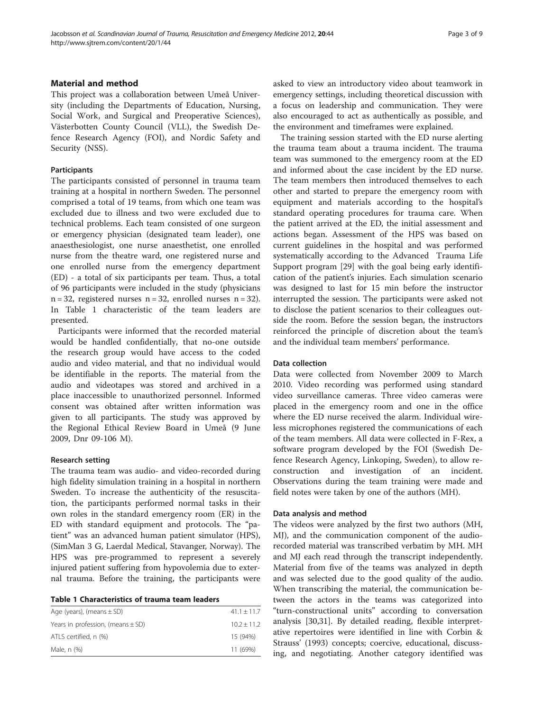# Material and method

This project was a collaboration between Umeå University (including the Departments of Education, Nursing, Social Work, and Surgical and Preoperative Sciences), Västerbotten County Council (VLL), the Swedish Defence Research Agency (FOI), and Nordic Safety and Security (NSS).

#### Participants

The participants consisted of personnel in trauma team training at a hospital in northern Sweden. The personnel comprised a total of 19 teams, from which one team was excluded due to illness and two were excluded due to technical problems. Each team consisted of one surgeon or emergency physician (designated team leader), one anaesthesiologist, one nurse anaesthetist, one enrolled nurse from the theatre ward, one registered nurse and one enrolled nurse from the emergency department (ED) - a total of six participants per team. Thus, a total of 96 participants were included in the study (physicians  $n = 32$ , registered nurses  $n = 32$ , enrolled nurses  $n = 32$ ). In Table 1 characteristic of the team leaders are presented.

Participants were informed that the recorded material would be handled confidentially, that no-one outside the research group would have access to the coded audio and video material, and that no individual would be identifiable in the reports. The material from the audio and videotapes was stored and archived in a place inaccessible to unauthorized personnel. Informed consent was obtained after written information was given to all participants. The study was approved by the Regional Ethical Review Board in Umeå (9 June 2009, Dnr 09-106 M).

#### Research setting

The trauma team was audio- and video-recorded during high fidelity simulation training in a hospital in northern Sweden. To increase the authenticity of the resuscitation, the participants performed normal tasks in their own roles in the standard emergency room (ER) in the ED with standard equipment and protocols. The "patient" was an advanced human patient simulator (HPS), (SimMan 3 G, Laerdal Medical, Stavanger, Norway). The HPS was pre-programmed to represent a severely injured patient suffering from hypovolemia due to external trauma. Before the training, the participants were

| Table 1 Characteristics of trauma team leaders |  |  |
|------------------------------------------------|--|--|
|                                                |  |  |

| Age (years), (means $\pm$ SD)         | $41.1 + 11.7$ |
|---------------------------------------|---------------|
| Years in profession, (means $\pm$ SD) | $10.2 + 11.2$ |
| ATLS certified, n (%)                 | 15 (94%)      |
| Male, n (%)                           | 11 (69%)      |

asked to view an introductory video about teamwork in emergency settings, including theoretical discussion with a focus on leadership and communication. They were also encouraged to act as authentically as possible, and the environment and timeframes were explained.

The training session started with the ED nurse alerting the trauma team about a trauma incident. The trauma team was summoned to the emergency room at the ED and informed about the case incident by the ED nurse. The team members then introduced themselves to each other and started to prepare the emergency room with equipment and materials according to the hospital's standard operating procedures for trauma care. When the patient arrived at the ED, the initial assessment and actions began. Assessment of the HPS was based on current guidelines in the hospital and was performed systematically according to the Advanced Trauma Life Support program [[29\]](#page-8-0) with the goal being early identification of the patient's injuries. Each simulation scenario was designed to last for 15 min before the instructor interrupted the session. The participants were asked not to disclose the patient scenarios to their colleagues outside the room. Before the session began, the instructors reinforced the principle of discretion about the team's and the individual team members' performance.

#### Data collection

Data were collected from November 2009 to March 2010. Video recording was performed using standard video surveillance cameras. Three video cameras were placed in the emergency room and one in the office where the ED nurse received the alarm. Individual wireless microphones registered the communications of each of the team members. All data were collected in F-Rex, a software program developed by the FOI (Swedish Defence Research Agency, Linkoping, Sweden), to allow reconstruction and investigation of an incident. Observations during the team training were made and field notes were taken by one of the authors (MH).

#### Data analysis and method

The videos were analyzed by the first two authors (MH, MJ), and the communication component of the audiorecorded material was transcribed verbatim by MH. MH and MJ each read through the transcript independently. Material from five of the teams was analyzed in depth and was selected due to the good quality of the audio. When transcribing the material, the communication between the actors in the teams was categorized into "turn-constructional units" according to conversation analysis [\[30,31\]](#page-8-0). By detailed reading, flexible interpretative repertoires were identified in line with Corbin & Strauss' (1993) concepts; coercive, educational, discussing, and negotiating. Another category identified was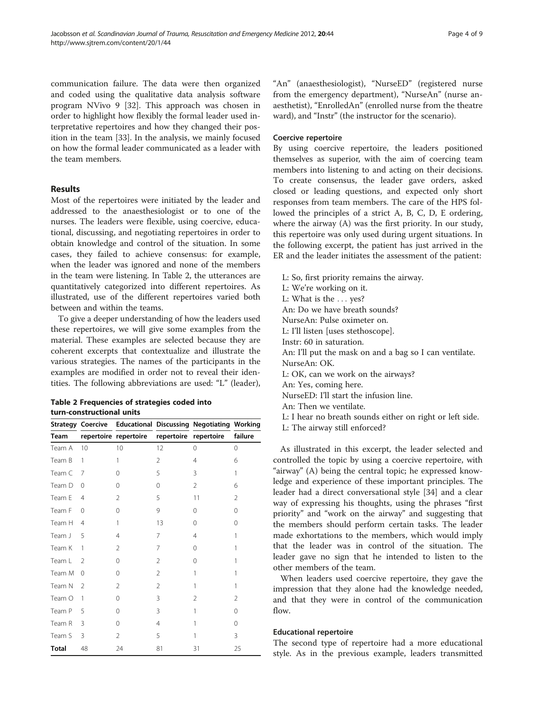communication failure. The data were then organized and coded using the qualitative data analysis software program NVivo 9 [[32\]](#page-8-0). This approach was chosen in order to highlight how flexibly the formal leader used interpretative repertoires and how they changed their position in the team [[33\]](#page-8-0). In the analysis, we mainly focused on how the formal leader communicated as a leader with the team members.

#### Results

Most of the repertoires were initiated by the leader and addressed to the anaesthesiologist or to one of the nurses. The leaders were flexible, using coercive, educational, discussing, and negotiating repertoires in order to obtain knowledge and control of the situation. In some cases, they failed to achieve consensus: for example, when the leader was ignored and none of the members in the team were listening. In Table 2, the utterances are quantitatively categorized into different repertoires. As illustrated, use of the different repertoires varied both between and within the teams.

To give a deeper understanding of how the leaders used these repertoires, we will give some examples from the material. These examples are selected because they are coherent excerpts that contextualize and illustrate the various strategies. The names of the participants in the examples are modified in order not to reveal their identities. The following abbreviations are used: "L" (leader),

#### Table 2 Frequencies of strategies coded into turn-constructional units

|              | <b>Strategy Coercive</b> |                       |                | <b>Educational Discussing Negotiating Working</b> |          |
|--------------|--------------------------|-----------------------|----------------|---------------------------------------------------|----------|
| Team         |                          | repertoire repertoire | repertoire     | repertoire                                        | failure  |
| Team A       | 10                       | 10                    | 12             | $\Omega$                                          | $\Omega$ |
| Team B       | 1                        | 1                     | 2              | $\overline{4}$                                    | 6        |
| Team C       | 7                        | $\Omega$              | 5              | 3                                                 | 1        |
| Team D       | 0                        | $\Omega$              | $\Omega$       | $\overline{2}$                                    | 6        |
| Team E       | 4                        | 2                     | 5              | 11                                                | 2        |
| Team F       | 0                        | $\Omega$              | 9              | $\Omega$                                          | $\Omega$ |
| Team H       | 4                        | 1                     | 13             | $\Omega$                                          | $\Omega$ |
| Team J       | 5                        | 4                     | 7              | $\overline{4}$                                    | 1        |
| Team K       | 1                        | $\overline{2}$        | 7              | $\Omega$                                          | 1        |
| Team L       | 2                        | $\Omega$              | $\overline{2}$ | $\Omega$                                          | 1        |
| Team M       | 0                        | $\Omega$              | $\mathfrak{D}$ | 1                                                 | 1        |
| Team N       | $\mathfrak{D}$           | 2                     | $\mathfrak{D}$ | 1                                                 | 1        |
| Team O       | 1                        | $\Omega$              | 3              | $\mathfrak{D}$                                    | 2        |
| Team P       | 5                        | $\Omega$              | 3              | 1                                                 | $\Omega$ |
| Team R       | 3                        | $\Omega$              | $\overline{4}$ | 1                                                 | $\Omega$ |
| Team S       | 3                        | 2                     | 5              | 1                                                 | 3        |
| <b>Total</b> | 48                       | 24                    | 81             | 31                                                | 25       |

"An" (anaesthesiologist), "NurseED" (registered nurse from the emergency department), "NurseAn" (nurse anaesthetist), "EnrolledAn" (enrolled nurse from the theatre ward), and "Instr" (the instructor for the scenario).

#### Coercive repertoire

By using coercive repertoire, the leaders positioned themselves as superior, with the aim of coercing team members into listening to and acting on their decisions. To create consensus, the leader gave orders, asked closed or leading questions, and expected only short responses from team members. The care of the HPS followed the principles of a strict A, B, C, D, E ordering, where the airway (A) was the first priority. In our study, this repertoire was only used during urgent situations. In the following excerpt, the patient has just arrived in the ER and the leader initiates the assessment of the patient:

L: So, first priority remains the airway. L: We're working on it. L: What is the ... yes? An: Do we have breath sounds? NurseAn: Pulse oximeter on. L: I'll listen [uses stethoscope]. Instr: 60 in saturation. An: I'll put the mask on and a bag so I can ventilate. NurseAn: OK. L: OK, can we work on the airways? An: Yes, coming here. NurseED: I'll start the infusion line. An: Then we ventilate. L: I hear no breath sounds either on right or left side. L: The airway still enforced?

As illustrated in this excerpt, the leader selected and controlled the topic by using a coercive repertoire, with "airway" (A) being the central topic; he expressed knowledge and experience of these important principles. The leader had a direct conversational style [\[34](#page-8-0)] and a clear way of expressing his thoughts, using the phrases "first priority" and "work on the airway" and suggesting that the members should perform certain tasks. The leader made exhortations to the members, which would imply that the leader was in control of the situation. The leader gave no sign that he intended to listen to the other members of the team.

When leaders used coercive repertoire, they gave the impression that they alone had the knowledge needed, and that they were in control of the communication flow.

#### Educational repertoire

The second type of repertoire had a more educational style. As in the previous example, leaders transmitted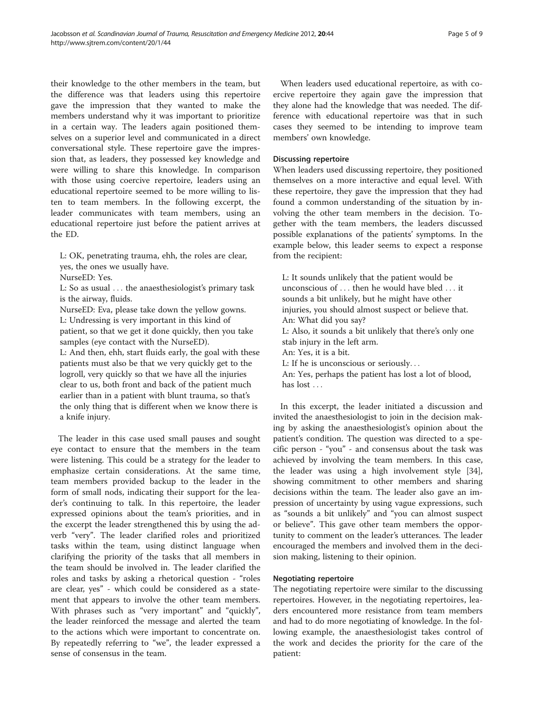their knowledge to the other members in the team, but the difference was that leaders using this repertoire gave the impression that they wanted to make the members understand why it was important to prioritize in a certain way. The leaders again positioned themselves on a superior level and communicated in a direct conversational style. These repertoire gave the impression that, as leaders, they possessed key knowledge and were willing to share this knowledge. In comparison with those using coercive repertoire, leaders using an educational repertoire seemed to be more willing to listen to team members. In the following excerpt, the leader communicates with team members, using an educational repertoire just before the patient arrives at the ED.

L: OK, penetrating trauma, ehh, the roles are clear, yes, the ones we usually have.

NurseED: Yes.

L: So as usual ... the anaesthesiologist's primary task is the airway, fluids.

NurseED: Eva, please take down the yellow gowns. L: Undressing is very important in this kind of patient, so that we get it done quickly, then you take samples (eye contact with the NurseED).

L: And then, ehh, start fluids early, the goal with these patients must also be that we very quickly get to the logroll, very quickly so that we have all the injuries clear to us, both front and back of the patient much earlier than in a patient with blunt trauma, so that's the only thing that is different when we know there is a knife injury.

The leader in this case used small pauses and sought eye contact to ensure that the members in the team were listening. This could be a strategy for the leader to emphasize certain considerations. At the same time, team members provided backup to the leader in the form of small nods, indicating their support for the leader's continuing to talk. In this repertoire, the leader expressed opinions about the team's priorities, and in the excerpt the leader strengthened this by using the adverb "very". The leader clarified roles and prioritized tasks within the team, using distinct language when clarifying the priority of the tasks that all members in the team should be involved in. The leader clarified the roles and tasks by asking a rhetorical question - "roles are clear, yes" - which could be considered as a statement that appears to involve the other team members. With phrases such as "very important" and "quickly", the leader reinforced the message and alerted the team to the actions which were important to concentrate on. By repeatedly referring to "we", the leader expressed a sense of consensus in the team.

When leaders used educational repertoire, as with coercive repertoire they again gave the impression that they alone had the knowledge that was needed. The difference with educational repertoire was that in such cases they seemed to be intending to improve team members' own knowledge.

# Discussing repertoire

When leaders used discussing repertoire, they positioned themselves on a more interactive and equal level. With these repertoire, they gave the impression that they had found a common understanding of the situation by involving the other team members in the decision. Together with the team members, the leaders discussed possible explanations of the patients' symptoms. In the example below, this leader seems to expect a response from the recipient:

L: It sounds unlikely that the patient would be unconscious of ... then he would have bled ... it sounds a bit unlikely, but he might have other injuries, you should almost suspect or believe that. An: What did you say? L: Also, it sounds a bit unlikely that there's only one stab injury in the left arm. An: Yes, it is a bit. L: If he is unconscious or seriously... An: Yes, perhaps the patient has lost a lot of blood, has lost ...

In this excerpt, the leader initiated a discussion and invited the anaesthesiologist to join in the decision making by asking the anaesthesiologist's opinion about the patient's condition. The question was directed to a specific person - "you" - and consensus about the task was achieved by involving the team members. In this case, the leader was using a high involvement style [\[34](#page-8-0)], showing commitment to other members and sharing decisions within the team. The leader also gave an impression of uncertainty by using vague expressions, such as "sounds a bit unlikely" and "you can almost suspect or believe". This gave other team members the opportunity to comment on the leader's utterances. The leader encouraged the members and involved them in the decision making, listening to their opinion.

# Negotiating repertoire

The negotiating repertoire were similar to the discussing repertoires. However, in the negotiating repertoires, leaders encountered more resistance from team members and had to do more negotiating of knowledge. In the following example, the anaesthesiologist takes control of the work and decides the priority for the care of the patient: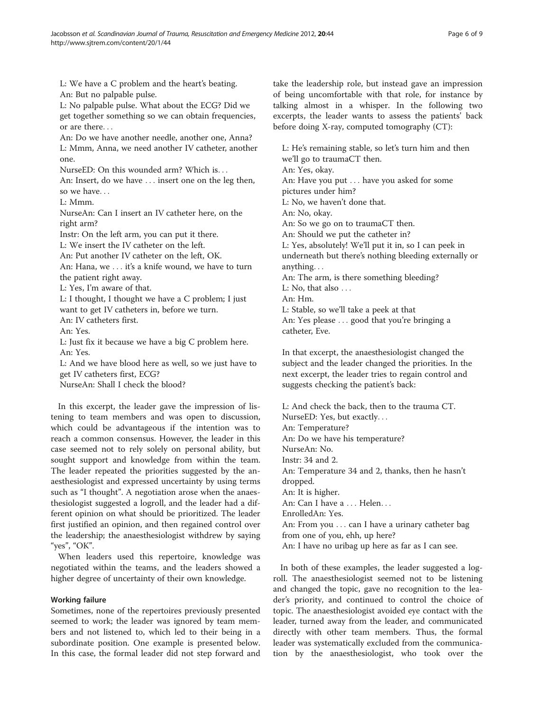L: We have a C problem and the heart's beating. An: But no palpable pulse.

L: No palpable pulse. What about the ECG? Did we get together something so we can obtain frequencies, or are there...

An: Do we have another needle, another one, Anna? L: Mmm, Anna, we need another IV catheter, another one.

NurseED: On this wounded arm? Which is...

An: Insert, do we have ... insert one on the leg then, so we have...

L: Mmm.

NurseAn: Can I insert an IV catheter here, on the right arm?

Instr: On the left arm, you can put it there.

L: We insert the IV catheter on the left.

An: Put another IV catheter on the left, OK.

An: Hana, we ... it's a knife wound, we have to turn the patient right away.

L: Yes, I'm aware of that.

L: I thought, I thought we have a C problem; I just want to get IV catheters in, before we turn.

An: IV catheters first.

An: Yes.

L: Just fix it because we have a big C problem here. An: Yes.

L: And we have blood here as well, so we just have to get IV catheters first, ECG?

NurseAn: Shall I check the blood?

In this excerpt, the leader gave the impression of listening to team members and was open to discussion, which could be advantageous if the intention was to reach a common consensus. However, the leader in this case seemed not to rely solely on personal ability, but sought support and knowledge from within the team. The leader repeated the priorities suggested by the anaesthesiologist and expressed uncertainty by using terms such as "I thought". A negotiation arose when the anaesthesiologist suggested a logroll, and the leader had a different opinion on what should be prioritized. The leader first justified an opinion, and then regained control over the leadership; the anaesthesiologist withdrew by saying "yes", "OK".

When leaders used this repertoire, knowledge was negotiated within the teams, and the leaders showed a higher degree of uncertainty of their own knowledge.

# Working failure

Sometimes, none of the repertoires previously presented seemed to work; the leader was ignored by team members and not listened to, which led to their being in a subordinate position. One example is presented below. In this case, the formal leader did not step forward and

take the leadership role, but instead gave an impression of being uncomfortable with that role, for instance by talking almost in a whisper. In the following two excerpts, the leader wants to assess the patients' back before doing X-ray, computed tomography (CT):

L: He's remaining stable, so let's turn him and then we'll go to traumaCT then. An: Yes, okay. An: Have you put ... have you asked for some pictures under him? L: No, we haven't done that. An: No, okay. An: So we go on to traumaCT then. An: Should we put the catheter in? L: Yes, absolutely! We'll put it in, so I can peek in underneath but there's nothing bleeding externally or anything... An: The arm, is there something bleeding? L: No, that also ... An: Hm. L: Stable, so we'll take a peek at that An: Yes please ... good that you're bringing a catheter, Eve.

In that excerpt, the anaesthesiologist changed the subject and the leader changed the priorities. In the next excerpt, the leader tries to regain control and suggests checking the patient's back:

L: And check the back, then to the trauma CT. NurseED: Yes, but exactly... An: Temperature? An: Do we have his temperature? NurseAn: No. Instr: 34 and 2. An: Temperature 34 and 2, thanks, then he hasn't dropped. An: It is higher. An: Can I have a ... Helen... EnrolledAn: Yes. An: From you ... can I have a urinary catheter bag from one of you, ehh, up here? An: I have no uribag up here as far as I can see.

In both of these examples, the leader suggested a logroll. The anaesthesiologist seemed not to be listening and changed the topic, gave no recognition to the leader's priority, and continued to control the choice of topic. The anaesthesiologist avoided eye contact with the leader, turned away from the leader, and communicated directly with other team members. Thus, the formal leader was systematically excluded from the communication by the anaesthesiologist, who took over the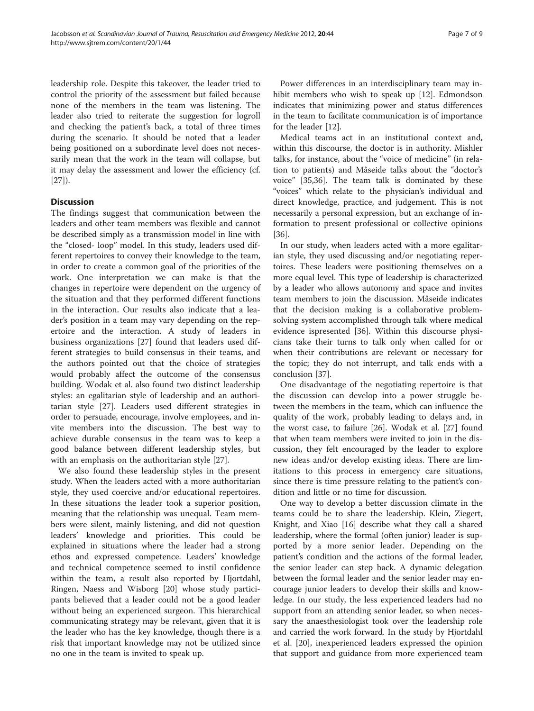leadership role. Despite this takeover, the leader tried to control the priority of the assessment but failed because none of the members in the team was listening. The leader also tried to reiterate the suggestion for logroll and checking the patient's back, a total of three times during the scenario. It should be noted that a leader being positioned on a subordinate level does not necessarily mean that the work in the team will collapse, but it may delay the assessment and lower the efficiency (cf. [[27\]](#page-8-0)).

# **Discussion**

The findings suggest that communication between the leaders and other team members was flexible and cannot be described simply as a transmission model in line with the "closed- loop" model. In this study, leaders used different repertoires to convey their knowledge to the team, in order to create a common goal of the priorities of the work. One interpretation we can make is that the changes in repertoire were dependent on the urgency of the situation and that they performed different functions in the interaction. Our results also indicate that a leader's position in a team may vary depending on the repertoire and the interaction. A study of leaders in business organizations [[27](#page-8-0)] found that leaders used different strategies to build consensus in their teams, and the authors pointed out that the choice of strategies would probably affect the outcome of the consensus building. Wodak et al. also found two distinct leadership styles: an egalitarian style of leadership and an authoritarian style [[27\]](#page-8-0). Leaders used different strategies in order to persuade, encourage, involve employees, and invite members into the discussion. The best way to achieve durable consensus in the team was to keep a good balance between different leadership styles, but with an emphasis on the authoritarian style [[27\]](#page-8-0).

We also found these leadership styles in the present study. When the leaders acted with a more authoritarian style, they used coercive and/or educational repertoires. In these situations the leader took a superior position, meaning that the relationship was unequal. Team members were silent, mainly listening, and did not question leaders' knowledge and priorities. This could be explained in situations where the leader had a strong ethos and expressed competence. Leaders' knowledge and technical competence seemed to instil confidence within the team, a result also reported by Hjortdahl, Ringen, Naess and Wisborg [\[20\]](#page-8-0) whose study participants believed that a leader could not be a good leader without being an experienced surgeon. This hierarchical communicating strategy may be relevant, given that it is the leader who has the key knowledge, though there is a risk that important knowledge may not be utilized since no one in the team is invited to speak up.

Power differences in an interdisciplinary team may inhibit members who wish to speak up [\[12](#page-8-0)]. Edmondson indicates that minimizing power and status differences in the team to facilitate communication is of importance for the leader [[12\]](#page-8-0).

Medical teams act in an institutional context and, within this discourse, the doctor is in authority. Mishler talks, for instance, about the "voice of medicine" (in relation to patients) and Måseide talks about the "doctor's voice" [\[35,36](#page-8-0)]. The team talk is dominated by these "voices" which relate to the physician's individual and direct knowledge, practice, and judgement. This is not necessarily a personal expression, but an exchange of information to present professional or collective opinions [[36\]](#page-8-0).

In our study, when leaders acted with a more egalitarian style, they used discussing and/or negotiating repertoires. These leaders were positioning themselves on a more equal level. This type of leadership is characterized by a leader who allows autonomy and space and invites team members to join the discussion. Måseide indicates that the decision making is a collaborative problemsolving system accomplished through talk where medical evidence ispresented [\[36](#page-8-0)]. Within this discourse physicians take their turns to talk only when called for or when their contributions are relevant or necessary for the topic; they do not interrupt, and talk ends with a conclusion [[37\]](#page-8-0).

One disadvantage of the negotiating repertoire is that the discussion can develop into a power struggle between the members in the team, which can influence the quality of the work, probably leading to delays and, in the worst case, to failure [[26\]](#page-8-0). Wodak et al. [[27](#page-8-0)] found that when team members were invited to join in the discussion, they felt encouraged by the leader to explore new ideas and/or develop existing ideas. There are limitations to this process in emergency care situations, since there is time pressure relating to the patient's condition and little or no time for discussion.

One way to develop a better discussion climate in the teams could be to share the leadership. Klein, Ziegert, Knight, and Xiao [\[16](#page-8-0)] describe what they call a shared leadership, where the formal (often junior) leader is supported by a more senior leader. Depending on the patient's condition and the actions of the formal leader, the senior leader can step back. A dynamic delegation between the formal leader and the senior leader may encourage junior leaders to develop their skills and knowledge. In our study, the less experienced leaders had no support from an attending senior leader, so when necessary the anaesthesiologist took over the leadership role and carried the work forward. In the study by Hjortdahl et al. [[20\]](#page-8-0), inexperienced leaders expressed the opinion that support and guidance from more experienced team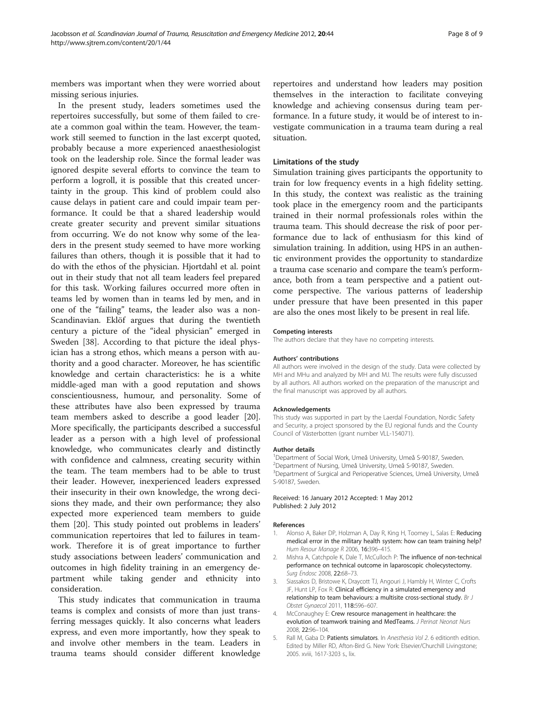<span id="page-7-0"></span>members was important when they were worried about missing serious injuries.

In the present study, leaders sometimes used the repertoires successfully, but some of them failed to create a common goal within the team. However, the teamwork still seemed to function in the last excerpt quoted, probably because a more experienced anaesthesiologist took on the leadership role. Since the formal leader was ignored despite several efforts to convince the team to perform a logroll, it is possible that this created uncertainty in the group. This kind of problem could also cause delays in patient care and could impair team performance. It could be that a shared leadership would create greater security and prevent similar situations from occurring. We do not know why some of the leaders in the present study seemed to have more working failures than others, though it is possible that it had to do with the ethos of the physician. Hjortdahl et al. point out in their study that not all team leaders feel prepared for this task. Working failures occurred more often in teams led by women than in teams led by men, and in one of the "failing" teams, the leader also was a non-Scandinavian. Eklöf argues that during the twentieth century a picture of the "ideal physician" emerged in Sweden [\[38](#page-8-0)]. According to that picture the ideal physician has a strong ethos, which means a person with authority and a good character. Moreover, he has scientific knowledge and certain characteristics: he is a white middle-aged man with a good reputation and shows conscientiousness, humour, and personality. Some of these attributes have also been expressed by trauma team members asked to describe a good leader [\[20](#page-8-0)]. More specifically, the participants described a successful leader as a person with a high level of professional knowledge, who communicates clearly and distinctly with confidence and calmness, creating security within the team. The team members had to be able to trust their leader. However, inexperienced leaders expressed their insecurity in their own knowledge, the wrong decisions they made, and their own performance; they also expected more experienced team members to guide them [\[20\]](#page-8-0). This study pointed out problems in leaders' communication repertoires that led to failures in teamwork. Therefore it is of great importance to further study associations between leaders' communication and outcomes in high fidelity training in an emergency department while taking gender and ethnicity into consideration.

This study indicates that communication in trauma teams is complex and consists of more than just transferring messages quickly. It also concerns what leaders express, and even more importantly, how they speak to and involve other members in the team. Leaders in trauma teams should consider different knowledge repertoires and understand how leaders may position themselves in the interaction to facilitate conveying knowledge and achieving consensus during team performance. In a future study, it would be of interest to investigate communication in a trauma team during a real situation.

#### Limitations of the study

Simulation training gives participants the opportunity to train for low frequency events in a high fidelity setting. In this study, the context was realistic as the training took place in the emergency room and the participants trained in their normal professionals roles within the trauma team. This should decrease the risk of poor performance due to lack of enthusiasm for this kind of simulation training. In addition, using HPS in an authentic environment provides the opportunity to standardize a trauma case scenario and compare the team's performance, both from a team perspective and a patient outcome perspective. The various patterns of leadership under pressure that have been presented in this paper are also the ones most likely to be present in real life.

#### Competing interests

The authors declare that they have no competing interests.

#### Authors' contributions

All authors were involved in the design of the study. Data were collected by MH and MHu and analyzed by MH and MJ. The results were fully discussed by all authors. All authors worked on the preparation of the manuscript and the final manuscript was approved by all authors.

#### Acknowledgements

This study was supported in part by the Laerdal Foundation, Nordic Safety and Security, a project sponsored by the EU regional funds and the County Council of Västerbotten (grant number VLL-154071).

#### Author details

1 Department of Social Work, Umeå University, Umeå S-90187, Sweden. 2 Department of Nursing, Umeå University, Umeå S-90187, Sweden. <sup>3</sup>Department of Surgical and Perioperative Sciences, Umeå University, Umeå S-90187, Sweden.

#### Received: 16 January 2012 Accepted: 1 May 2012 Published: 2 July 2012

#### References

- 1. Alonso A, Baker DP, Holzman A, Day R, King H, Toomey L, Salas E: Reducing medical error in the military health system: how can team training help? Hum Resour Manage R 2006, 16:396–415.
- 2. Mishra A, Catchpole K, Dale T, McCulloch P: The influence of non-technical performance on technical outcome in laparoscopic cholecystectomy. Surg Endosc 2008, 22:68–73.
- 3. Siassakos D, Bristowe K, Draycott TJ, Angouri J, Hambly H, Winter C, Crofts JF, Hunt LP, Fox R: Clinical efficiency in a simulated emergency and relationship to team behaviours: a multisite cross-sectional study. Br J Obstet Gynaecol 2011, 118:596–607.
- 4. McConaughey E: Crew resource management in healthcare: the evolution of teamwork training and MedTeams. J Perinat Neonat Nurs 2008, 22:96–104.
- 5. Rall M, Gaba D: Patients simulators. In Anesthesia Vol 2. 6 editionth edition. Edited by Miller RD, Afton-Bird G. New York: Elsevier/Churchill Livingstone; 2005. xviii, 1617-3203 s., lix.